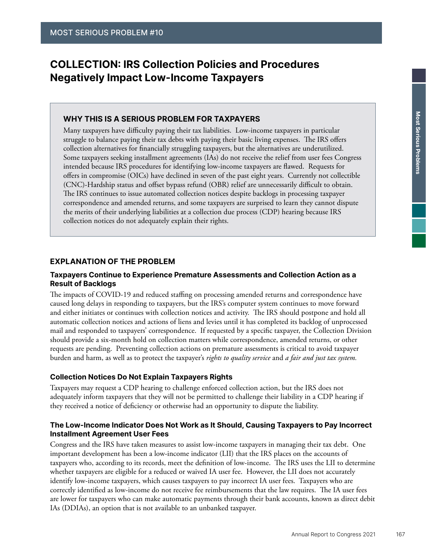# COLLECTION: IRS Collection Policies and Procedures Negatively Impact Low-Income Taxpayers

### WHY THIS IS A SERIOUS PROBLEM FOR TAXPAYERS

Many taxpayers have difficulty paying their tax liabilities. Low-income taxpayers in particular struggle to balance paying their tax debts with paying their basic living expenses. The IRS offers collection alternatives for financially struggling taxpayers, but the alternatives are underutilized. Some taxpayers seeking installment agreements (IAs) do not receive the relief from user fees Congress intended because IRS procedures for identifying low-income taxpayers are flawed. Requests for offers in compromise (OICs) have declined in seven of the past eight years. Currently not collectible (CNC)-Hardship status and offset bypass refund (OBR) relief are unnecessarily difficult to obtain. The IRS continues to issue automated collection notices despite backlogs in processing taxpayer correspondence and amended returns, and some taxpayers are surprised to learn they cannot dispute the merits of their underlying liabilities at a collection due process (CDP) hearing because IRS collection notices do not adequately explain their rights.

#### EXPLANATION OF THE PROBLEM

### Taxpayers Continue to Experience Premature Assessments and Collection Action as a Result of Backlogs

The impacts of COVID-19 and reduced staffing on processing amended returns and correspondence have caused long delays in responding to taxpayers, but the IRS's computer system continues to move forward and either initiates or continues with collection notices and activity. The IRS should postpone and hold all automatic collection notices and actions of liens and levies until it has completed its backlog of unprocessed mail and responded to taxpayers' correspondence. If requested by a specific taxpayer, the Collection Division should provide a six-month hold on collection matters while correspondence, amended returns, or other requests are pending. Preventing collection actions on premature assessments is critical to avoid taxpayer burden and harm, as well as to protect the taxpayer's *rights to quality service* and *a fair and just tax system.*

#### Collection Notices Do Not Explain Taxpayers Rights

Taxpayers may request a CDP hearing to challenge enforced collection action, but the IRS does not adequately inform taxpayers that they will not be permitted to challenge their liability in a CDP hearing if they received a notice of deficiency or otherwise had an opportunity to dispute the liability.

#### The Low-Income Indicator Does Not Work as It Should, Causing Taxpayers to Pay Incorrect Installment Agreement User Fees

Congress and the IRS have taken measures to assist low-income taxpayers in managing their tax debt. One important development has been a low-income indicator (LII) that the IRS places on the accounts of taxpayers who, according to its records, meet the definition of low-income. The IRS uses the LII to determine whether taxpayers are eligible for a reduced or waived IA user fee. However, the LII does not accurately identify low-income taxpayers, which causes taxpayers to pay incorrect IA user fees. Taxpayers who are correctly identified as low-income do not receive fee reimbursements that the law requires. The IA user fees are lower for taxpayers who can make automatic payments through their bank accounts, known as direct debit IAs (DDIAs), an option that is not available to an unbanked taxpayer.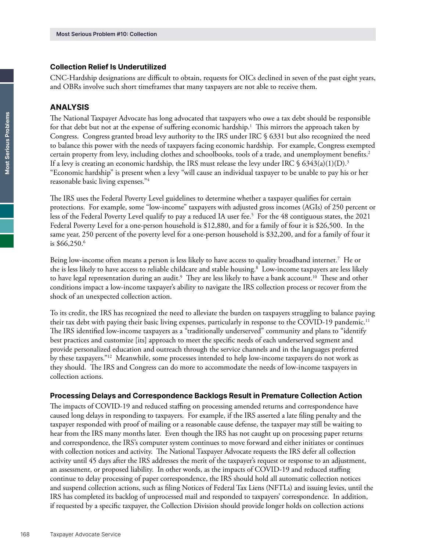#### Collection Relief Is Underutilized

CNC-Hardship designations are difficult to obtain, requests for OICs declined in seven of the past eight years, and OBRs involve such short timeframes that many taxpayers are not able to receive them.

#### ANALYSIS

The National Taxpayer Advocate has long advocated that taxpayers who owe a tax debt should be responsible for that debt but not at the expense of suffering economic hardship.<sup>1</sup> This mirrors the approach taken by Congress. Congress granted broad levy authority to the IRS under IRC § 6331 but also recognized the need to balance this power with the needs of taxpayers facing economic hardship. For example, Congress exempted certain property from levy, including clothes and schoolbooks, tools of a trade, and unemployment benefits.2 If a levy is creating an economic hardship, the IRS must release the levy under IRC  $\frac{6343(a)(1)(D)^3}{2}$ "Economic hardship" is present when a levy "will cause an individual taxpayer to be unable to pay his or her reasonable basic living expenses."4

The IRS uses the Federal Poverty Level guidelines to determine whether a taxpayer qualifies for certain protections. For example, some "low-income" taxpayers with adjusted gross incomes (AGIs) of 250 percent or less of the Federal Poverty Level qualify to pay a reduced IA user fee.5 For the 48 contiguous states, the 2021 Federal Poverty Level for a one-person household is \$12,880, and for a family of four it is \$26,500. In the same year, 250 percent of the poverty level for a one-person household is \$32,200, and for a family of four it is \$66,250.6

Being low-income often means a person is less likely to have access to quality broadband internet.7 He or she is less likely to have access to reliable childcare and stable housing.<sup>8</sup> Low-income taxpayers are less likely to have legal representation during an audit. $^9\,$  They are less likely to have a bank account. $^{10}\,$  These and other conditions impact a low-income taxpayer's ability to navigate the IRS collection process or recover from the shock of an unexpected collection action.

To its credit, the IRS has recognized the need to alleviate the burden on taxpayers struggling to balance paying their tax debt with paying their basic living expenses, particularly in response to the COVID-19 pandemic.<sup>11</sup> The IRS identified low-income taxpayers as a "traditionally underserved" community and plans to "identify best practices and customize [its] approach to meet the specific needs of each underserved segment and provide personalized education and outreach through the service channels and in the languages preferred by these taxpayers."12 Meanwhile, some processes intended to help low-income taxpayers do not work as they should. The IRS and Congress can do more to accommodate the needs of low-income taxpayers in collection actions.

#### Processing Delays and Correspondence Backlogs Result in Premature Collection Action

The impacts of COVID-19 and reduced staffing on processing amended returns and correspondence have caused long delays in responding to taxpayers. For example, if the IRS asserted a late filing penalty and the taxpayer responded with proof of mailing or a reasonable cause defense, the taxpayer may still be waiting to hear from the IRS many months later. Even though the IRS has not caught up on processing paper returns and correspondence, the IRS's computer system continues to move forward and either initiates or continues with collection notices and activity. The National Taxpayer Advocate requests the IRS defer all collection activity until 45 days after the IRS addresses the merit of the taxpayer's request or response to an adjustment, an assessment, or proposed liability. In other words, as the impacts of COVID-19 and reduced staffing continue to delay processing of paper correspondence, the IRS should hold all automatic collection notices and suspend collection actions, such as filing Notices of Federal Tax Liens (NFTLs) and issuing levies, until the IRS has completed its backlog of unprocessed mail and responded to taxpayers' correspondence. In addition, if requested by a specific taxpayer, the Collection Division should provide longer holds on collection actions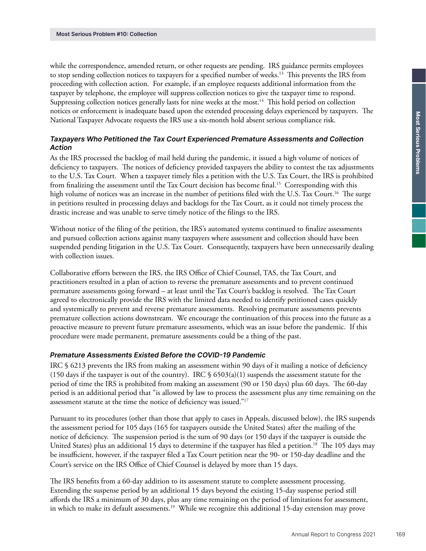while the correspondence, amended return, or other requests are pending. IRS guidance permits employees to stop sending collection notices to taxpayers for a specified number of weeks.13 This prevents the IRS from proceeding with collection action. For example, if an employee requests additional information from the taxpayer by telephone, the employee will suppress collection notices to give the taxpayer time to respond. Suppressing collection notices generally lasts for nine weeks at the most.<sup>14</sup> This hold period on collection notices or enforcement is inadequate based upon the extended processing delays experienced by taxpayers. The National Taxpayer Advocate requests the IRS use a six-month hold absent serious compliance risk.

### Taxpayers Who Petitioned the Tax Court Experienced Premature Assessments and Collection Action

As the IRS processed the backlog of mail held during the pandemic, it issued a high volume of notices of deficiency to taxpayers. The notices of deficiency provided taxpayers the ability to contest the tax adjustments to the U.S. Tax Court. When a taxpayer timely files a petition with the U.S. Tax Court, the IRS is prohibited from finalizing the assessment until the Tax Court decision has become final.<sup>15</sup> Corresponding with this high volume of notices was an increase in the number of petitions filed with the U.S. Tax Court.<sup>16</sup> The surge in petitions resulted in processing delays and backlogs for the Tax Court, as it could not timely process the drastic increase and was unable to serve timely notice of the filings to the IRS.

Without notice of the filing of the petition, the IRS's automated systems continued to finalize assessments and pursued collection actions against many taxpayers where assessment and collection should have been suspended pending litigation in the U.S. Tax Court. Consequently, taxpayers have been unnecessarily dealing with collection issues.

Collaborative efforts between the IRS, the IRS Office of Chief Counsel, TAS, the Tax Court, and practitioners resulted in a plan of action to reverse the premature assessments and to prevent continued premature assessments going forward – at least until the Tax Court's backlog is resolved. The Tax Court agreed to electronically provide the IRS with the limited data needed to identify petitioned cases quickly and systemically to prevent and reverse premature assessments. Resolving premature assessments prevents premature collection actions downstream. We encourage the continuation of this process into the future as a proactive measure to prevent future premature assessments, which was an issue before the pandemic. If this procedure were made permanent, premature assessments could be a thing of the past.

#### Premature Assessments Existed Before the COVID-19 Pandemic

IRC § 6213 prevents the IRS from making an assessment within 90 days of it mailing a notice of deficiency (150 days if the taxpayer is out of the country). IRC  $\S$  6503(a)(1) suspends the assessment statute for the period of time the IRS is prohibited from making an assessment (90 or 150 days) plus 60 days. The 60-day period is an additional period that "is allowed by law to process the assessment plus any time remaining on the assessment statute at the time the notice of deficiency was issued."17

Pursuant to its procedures (other than those that apply to cases in Appeals, discussed below), the IRS suspends the assessment period for 105 days (165 for taxpayers outside the United States) after the mailing of the notice of deficiency. The suspension period is the sum of 90 days (or 150 days if the taxpayer is outside the United States) plus an additional 15 days to determine if the taxpayer has filed a petition.<sup>18</sup> The 105 days may be insufficient, however, if the taxpayer filed a Tax Court petition near the 90- or 150-day deadline and the Court's service on the IRS Office of Chief Counsel is delayed by more than 15 days.

The IRS benefits from a 60-day addition to its assessment statute to complete assessment processing. Extending the suspense period by an additional 15 days beyond the existing 15-day suspense period still affords the IRS a minimum of 30 days, plus any time remaining on the period of limitations for assessment, in which to make its default assessments.19 While we recognize this additional 15-day extension may prove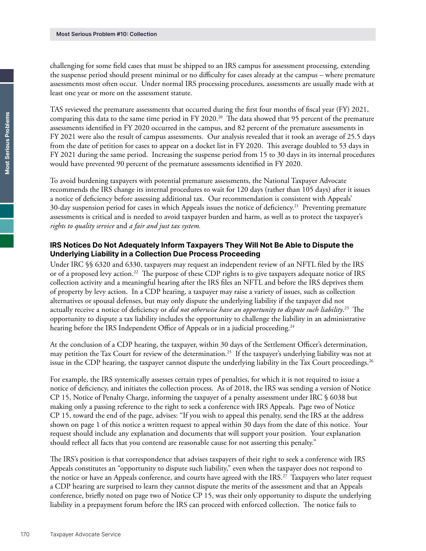challenging for some field cases that must be shipped to an IRS campus for assessment processing, extending the suspense period should present minimal or no difficulty for cases already at the campus – where premature assessments most often occur. Under normal IRS processing procedures, assessments are usually made with at least one year or more on the assessment statute.

TAS reviewed the premature assessments that occurred during the first four months of fiscal year (FY) 2021, comparing this data to the same time period in FY 2020.<sup>20</sup> The data showed that 95 percent of the premature assessments identified in FY 2020 occurred in the campus, and 82 percent of the premature assessments in FY 2021 were also the result of campus assessments. Our analysis revealed that it took an average of 25.5 days from the date of petition for cases to appear on a docket list in FY 2020. This average doubled to 53 days in FY 2021 during the same period. Increasing the suspense period from 15 to 30 days in its internal procedures would have prevented 90 percent of the premature assessments identified in FY 2020.

To avoid burdening taxpayers with potential premature assessments, the National Taxpayer Advocate recommends the IRS change its internal procedures to wait for 120 days (rather than 105 days) after it issues a notice of deficiency before assessing additional tax. Our recommendation is consistent with Appeals' 30-day suspension period for cases in which Appeals issues the notice of deficiency.21 Preventing premature assessments is critical and is needed to avoid taxpayer burden and harm, as well as to protect the taxpayer's *rights to quality service* and *a fair and just tax system.*

### IRS Notices Do Not Adequately Inform Taxpayers They Will Not Be Able to Dispute the Underlying Liability in a Collection Due Process Proceeding

Under IRC §§ 6320 and 6330, taxpayers may request an independent review of an NFTL filed by the IRS or of a proposed levy action.22 The purpose of these CDP rights is to give taxpayers adequate notice of IRS collection activity and a meaningful hearing after the IRS files an NFTL and before the IRS deprives them of property by levy action. In a CDP hearing, a taxpayer may raise a variety of issues, such as collection alternatives or spousal defenses, but may only dispute the underlying liability if the taxpayer did not actually receive a notice of deficiency or *did not otherwise have an opportunity to dispute such liability*. 23 The opportunity to dispute a tax liability includes the opportunity to challenge the liability in an administrative hearing before the IRS Independent Office of Appeals or in a judicial proceeding.<sup>24</sup>

At the conclusion of a CDP hearing, the taxpayer, within 30 days of the Settlement Officer's determination, may petition the Tax Court for review of the determination.25 If the taxpayer's underlying liability was not at issue in the CDP hearing, the taxpayer cannot dispute the underlying liability in the Tax Court proceedings.<sup>26</sup>

For example, the IRS systemically assesses certain types of penalties, for which it is not required to issue a notice of deficiency, and initiates the collection process. As of 2018, the IRS was sending a version of Notice CP 15, Notice of Penalty Charge, informing the taxpayer of a penalty assessment under IRC § 6038 but making only a passing reference to the right to seek a conference with IRS Appeals. Page two of Notice CP 15, toward the end of the page, advises: "If you wish to appeal this penalty, send the IRS at the address shown on page 1 of this notice a written request to appeal within 30 days from the date of this notice. Your request should include any explanation and documents that will support your position. Your explanation should reflect all facts that you contend are reasonable cause for not asserting this penalty."

The IRS's position is that correspondence that advises taxpayers of their right to seek a conference with IRS Appeals constitutes an "opportunity to dispute such liability," even when the taxpayer does not respond to the notice or have an Appeals conference, and courts have agreed with the IRS.<sup>27</sup> Taxpayers who later request a CDP hearing are surprised to learn they cannot dispute the merits of the assessment and that an Appeals conference, briefly noted on page two of Notice CP 15, was their only opportunity to dispute the underlying liability in a prepayment forum before the IRS can proceed with enforced collection. The notice fails to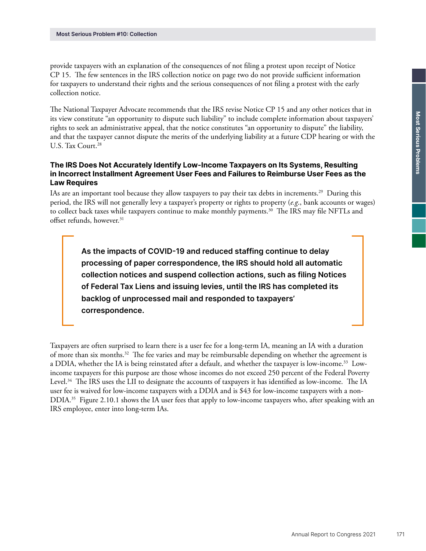provide taxpayers with an explanation of the consequences of not filing a protest upon receipt of Notice CP 15. The few sentences in the IRS collection notice on page two do not provide sufficient information for taxpayers to understand their rights and the serious consequences of not filing a protest with the early collection notice.

The National Taxpayer Advocate recommends that the IRS revise Notice CP 15 and any other notices that in its view constitute "an opportunity to dispute such liability" to include complete information about taxpayers' rights to seek an administrative appeal, that the notice constitutes "an opportunity to dispute" the liability, and that the taxpayer cannot dispute the merits of the underlying liability at a future CDP hearing or with the U.S. Tax Court.<sup>28</sup>

### The IRS Does Not Accurately Identify Low-Income Taxpayers on Its Systems, Resulting in Incorrect Installment Agreement User Fees and Failures to Reimburse User Fees as the Law Requires

IAs are an important tool because they allow taxpayers to pay their tax debts in increments.29 During this period, the IRS will not generally levy a taxpayer's property or rights to property (*e.g*., bank accounts or wages) to collect back taxes while taxpayers continue to make monthly payments.<sup>30</sup> The IRS may file NFTLs and offset refunds, however.<sup>31</sup>

As the impacts of COVID-19 and reduced staffing continue to delay processing of paper correspondence, the IRS should hold all automatic collection notices and suspend collection actions, such as filing Notices of Federal Tax Liens and issuing levies, until the IRS has completed its backlog of unprocessed mail and responded to taxpayers' correspondence.

Taxpayers are often surprised to learn there is a user fee for a long-term IA, meaning an IA with a duration of more than six months.<sup>32</sup> The fee varies and may be reimbursable depending on whether the agreement is a DDIA, whether the IA is being reinstated after a default, and whether the taxpayer is low-income.33 Lowincome taxpayers for this purpose are those whose incomes do not exceed 250 percent of the Federal Poverty Level.<sup>34</sup> The IRS uses the LII to designate the accounts of taxpayers it has identified as low-income. The IA user fee is waived for low-income taxpayers with a DDIA and is \$43 for low-income taxpayers with a non-DDIA.35 Figure 2.10.1 shows the IA user fees that apply to low-income taxpayers who, after speaking with an IRS employee, enter into long-term IAs.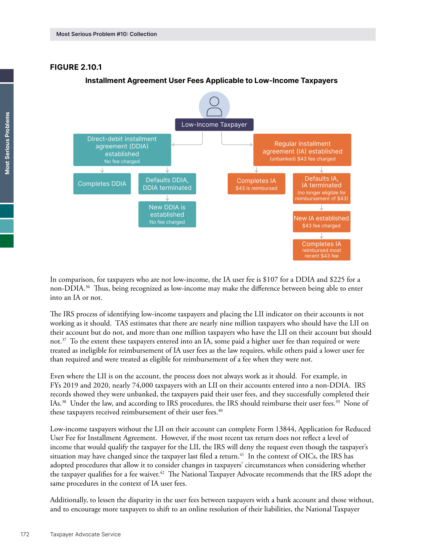#### FIGURE 2.10.1

#### Low-Income Taxpayer Direct-debit installment Regular installment agreement (DDIA) agreement (IA) established established (unbanked) \$43 fee charged No fee charged  $\downarrow$ Defaults IA, Defaults DDIA, Completes DDIA Defaults DDIA, Completes IA IA terminated DDIA terminated \$43 is reimbursed (no longer eligible for mbursement of \$43 New DDIA is J established New IA established No fee charged \$43 fee charged J Completes IA reimbursed most recent \$43 fee

#### **Installment Agreement User Fees Applicable to Low-Income Taxpayers**

In comparison, for taxpayers who are not low-income, the IA user fee is \$107 for a DDIA and \$225 for a non-DDIA.<sup>36</sup> Thus, being recognized as low-income may make the difference between being able to enter into an IA or not.

The IRS process of identifying low-income taxpayers and placing the LII indicator on their accounts is not working as it should. TAS estimates that there are nearly nine million taxpayers who should have the LII on their account but do not, and more than one million taxpayers who have the LII on their account but should not.37 To the extent these taxpayers entered into an IA, some paid a higher user fee than required or were treated as ineligible for reimbursement of IA user fees as the law requires, while others paid a lower user fee than required and were treated as eligible for reimbursement of a fee when they were not.

Even where the LII is on the account, the process does not always work as it should. For example, in FYs 2019 and 2020, nearly 74,000 taxpayers with an LII on their accounts entered into a non-DDIA. IRS records showed they were unbanked, the taxpayers paid their user fees, and they successfully completed their IAs.38 Under the law, and according to IRS procedures, the IRS should reimburse their user fees.39 None of these taxpayers received reimbursement of their user fees.<sup>40</sup>

Low-income taxpayers without the LII on their account can complete Form 13844, Application for Reduced User Fee for Installment Agreement. However, if the most recent tax return does not reflect a level of income that would qualify the taxpayer for the LII, the IRS will deny the request even though the taxpayer's situation may have changed since the taxpayer last filed a return.<sup>41</sup> In the context of OICs, the IRS has adopted procedures that allow it to consider changes in taxpayers' circumstances when considering whether the taxpayer qualifies for a fee waiver.<sup>42</sup> The National Taxpayer Advocate recommends that the IRS adopt the same procedures in the context of IA user fees.

Additionally, to lessen the disparity in the user fees between taxpayers with a bank account and those without, and to encourage more taxpayers to shift to an online resolution of their liabilities, the National Taxpayer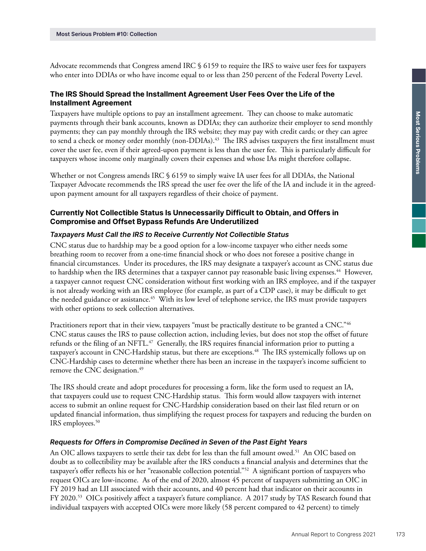Advocate recommends that Congress amend IRC § 6159 to require the IRS to waive user fees for taxpayers who enter into DDIAs or who have income equal to or less than 250 percent of the Federal Poverty Level.

## The IRS Should Spread the Installment Agreement User Fees Over the Life of the Installment Agreement

Taxpayers have multiple options to pay an installment agreement. They can choose to make automatic payments through their bank accounts, known as DDIAs; they can authorize their employer to send monthly payments; they can pay monthly through the IRS website; they may pay with credit cards; or they can agree to send a check or money order monthly (non-DDIAs).<sup>43</sup> The IRS advises taxpayers the first installment must cover the user fee, even if their agreed-upon payment is less than the user fee. This is particularly difficult for taxpayers whose income only marginally covers their expenses and whose IAs might therefore collapse.

Whether or not Congress amends IRC § 6159 to simply waive IA user fees for all DDIAs, the National Taxpayer Advocate recommends the IRS spread the user fee over the life of the IA and include it in the agreedupon payment amount for all taxpayers regardless of their choice of payment.

### Currently Not Collectible Status Is Unnecessarily Difficult to Obtain, and Offers in Compromise and Offset Bypass Refunds Are Underutilized

#### Taxpayers Must Call the IRS to Receive Currently Not Collectible Status

CNC status due to hardship may be a good option for a low-income taxpayer who either needs some breathing room to recover from a one-time financial shock or who does not foresee a positive change in financial circumstances. Under its procedures, the IRS may designate a taxpayer's account as CNC status due to hardship when the IRS determines that a taxpayer cannot pay reasonable basic living expenses.<sup>44</sup> However, a taxpayer cannot request CNC consideration without first working with an IRS employee, and if the taxpayer is not already working with an IRS employee (for example, as part of a CDP case), it may be difficult to get the needed guidance or assistance.<sup>45</sup> With its low level of telephone service, the IRS must provide taxpayers with other options to seek collection alternatives.

Practitioners report that in their view, taxpayers "must be practically destitute to be granted a CNC."<sup>46</sup> CNC status causes the IRS to pause collection action, including levies, but does not stop the offset of future refunds or the filing of an NFTL. $47$  Generally, the IRS requires financial information prior to putting a taxpayer's account in CNC-Hardship status, but there are exceptions.<sup>48</sup> The IRS systemically follows up on CNC-Hardship cases to determine whether there has been an increase in the taxpayer's income sufficient to remove the CNC designation.<sup>49</sup>

The IRS should create and adopt procedures for processing a form, like the form used to request an IA, that taxpayers could use to request CNC-Hardship status. This form would allow taxpayers with internet access to submit an online request for CNC-Hardship consideration based on their last filed return or on updated financial information, thus simplifying the request process for taxpayers and reducing the burden on IRS employees.50

#### Requests for Offers in Compromise Declined in Seven of the Past Eight Years

An OIC allows taxpayers to settle their tax debt for less than the full amount owed.<sup>51</sup> An OIC based on doubt as to collectibility may be available after the IRS conducts a financial analysis and determines that the taxpayer's offer reflects his or her "reasonable collection potential."52 A significant portion of taxpayers who request OICs are low-income. As of the end of 2020, almost 45 percent of taxpayers submitting an OIC in FY 2019 had an LII associated with their accounts, and 40 percent had that indicator on their accounts in FY 2020.53 OICs positively affect a taxpayer's future compliance. A 2017 study by TAS Research found that individual taxpayers with accepted OICs were more likely (58 percent compared to 42 percent) to timely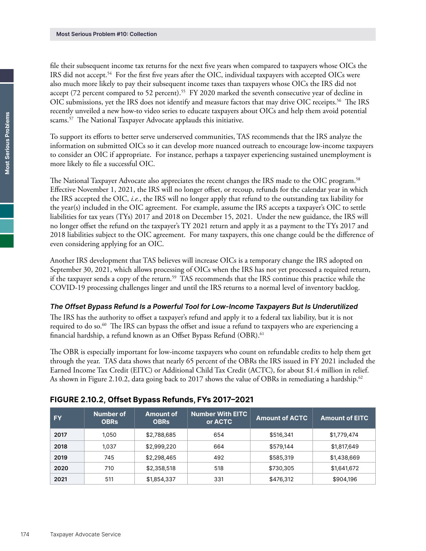file their subsequent income tax returns for the next five years when compared to taxpayers whose OICs the IRS did not accept.<sup>54</sup> For the first five years after the OIC, individual taxpayers with accepted OICs were also much more likely to pay their subsequent income taxes than taxpayers whose OICs the IRS did not accept (72 percent compared to 52 percent).<sup>55</sup> FY 2020 marked the seventh consecutive year of decline in OIC submissions, yet the IRS does not identify and measure factors that may drive OIC receipts.56 The IRS recently unveiled a new how-to video series to educate taxpayers about OICs and help them avoid potential scams.<sup>57</sup> The National Taxpayer Advocate applauds this initiative.

To support its efforts to better serve underserved communities, TAS recommends that the IRS analyze the information on submitted OICs so it can develop more nuanced outreach to encourage low-income taxpayers to consider an OIC if appropriate. For instance, perhaps a taxpayer experiencing sustained unemployment is more likely to file a successful OIC.

The National Taxpayer Advocate also appreciates the recent changes the IRS made to the OIC program.<sup>58</sup> Effective November 1, 2021, the IRS will no longer offset, or recoup, refunds for the calendar year in which the IRS accepted the OIC, *i.e.*, the IRS will no longer apply that refund to the outstanding tax liability for the year(s) included in the OIC agreement. For example, assume the IRS accepts a taxpayer's OIC to settle liabilities for tax years (TYs) 2017 and 2018 on December 15, 2021. Under the new guidance, the IRS will no longer offset the refund on the taxpayer's TY 2021 return and apply it as a payment to the TYs 2017 and 2018 liabilities subject to the OIC agreement. For many taxpayers, this one change could be the difference of even considering applying for an OIC.

Another IRS development that TAS believes will increase OICs is a temporary change the IRS adopted on September 30, 2021, which allows processing of OICs when the IRS has not yet processed a required return, if the taxpayer sends a copy of the return.<sup>59</sup> TAS recommends that the IRS continue this practice while the COVID-19 processing challenges linger and until the IRS returns to a normal level of inventory backlog.

#### The Offset Bypass Refund Is a Powerful Tool for Low-Income Taxpayers But Is Underutilized

The IRS has the authority to offset a taxpayer's refund and apply it to a federal tax liability, but it is not required to do so.<sup>60</sup> The IRS can bypass the offset and issue a refund to taxpayers who are experiencing a financial hardship, a refund known as an Offset Bypass Refund (OBR).<sup>61</sup>

The OBR is especially important for low-income taxpayers who count on refundable credits to help them get through the year. TAS data shows that nearly 65 percent of the OBRs the IRS issued in FY 2021 included the Earned Income Tax Credit (EITC) or Additional Child Tax Credit (ACTC), for about \$1.4 million in relief. As shown in Figure 2.10.2, data going back to 2017 shows the value of OBRs in remediating a hardship.<sup>62</sup>

| <b>FY</b> | Number of<br><b>OBRs</b> | <b>Amount of</b><br><b>OBRs</b> | <b>Number With EITC</b><br>or ACTC | <b>Amount of ACTC</b> | <b>Amount of EITC</b> |
|-----------|--------------------------|---------------------------------|------------------------------------|-----------------------|-----------------------|
| 2017      | 1.050                    | \$2,788,685                     | 654                                | \$516,341             | \$1,779,474           |
| 2018      | 1.037                    | \$2,999,220                     | 664                                | \$579,144             | \$1,817,649           |
| 2019      | 745                      | \$2,298,465                     | 492                                | \$585,319             | \$1,438,669           |
| 2020      | 710                      | \$2,358,518                     | 518                                | \$730,305             | \$1,641,672           |
| 2021      | 511                      | \$1,854,337                     | 331                                | \$476,312             | \$904,196             |

### FIGURE 2.10.2, Offset Bypass Refunds, FYs 2017–2021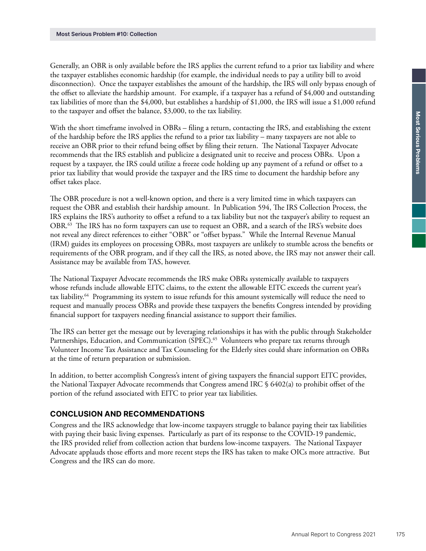Generally, an OBR is only available before the IRS applies the current refund to a prior tax liability and where the taxpayer establishes economic hardship (for example, the individual needs to pay a utility bill to avoid disconnection). Once the taxpayer establishes the amount of the hardship, the IRS will only bypass enough of the offset to alleviate the hardship amount. For example, if a taxpayer has a refund of \$4,000 and outstanding tax liabilities of more than the \$4,000, but establishes a hardship of \$1,000, the IRS will issue a \$1,000 refund to the taxpayer and offset the balance, \$3,000, to the tax liability.

With the short timeframe involved in OBRs – filing a return, contacting the IRS, and establishing the extent of the hardship before the IRS applies the refund to a prior tax liability – many taxpayers are not able to receive an OBR prior to their refund being offset by filing their return. The National Taxpayer Advocate recommends that the IRS establish and publicize a designated unit to receive and process OBRs. Upon a request by a taxpayer, the IRS could utilize a freeze code holding up any payment of a refund or offset to a prior tax liability that would provide the taxpayer and the IRS time to document the hardship before any offset takes place.

The OBR procedure is not a well-known option, and there is a very limited time in which taxpayers can request the OBR and establish their hardship amount. In Publication 594, The IRS Collection Process, the IRS explains the IRS's authority to offset a refund to a tax liability but not the taxpayer's ability to request an OBR.63 The IRS has no form taxpayers can use to request an OBR, and a search of the IRS's website does not reveal any direct references to either "OBR" or "offset bypass." While the Internal Revenue Manual (IRM) guides its employees on processing OBRs, most taxpayers are unlikely to stumble across the benefits or requirements of the OBR program, and if they call the IRS, as noted above, the IRS may not answer their call. Assistance may be available from TAS, however.

The National Taxpayer Advocate recommends the IRS make OBRs systemically available to taxpayers whose refunds include allowable EITC claims, to the extent the allowable EITC exceeds the current year's tax liability.64 Programming its system to issue refunds for this amount systemically will reduce the need to request and manually process OBRs and provide these taxpayers the benefits Congress intended by providing financial support for taxpayers needing financial assistance to support their families.

The IRS can better get the message out by leveraging relationships it has with the public through Stakeholder Partnerships, Education, and Communication (SPEC).<sup>65</sup> Volunteers who prepare tax returns through Volunteer Income Tax Assistance and Tax Counseling for the Elderly sites could share information on OBRs at the time of return preparation or submission.

In addition, to better accomplish Congress's intent of giving taxpayers the financial support EITC provides, the National Taxpayer Advocate recommends that Congress amend IRC § 6402(a) to prohibit offset of the portion of the refund associated with EITC to prior year tax liabilities.

## CONCLUSION AND RECOMMENDATIONS

Congress and the IRS acknowledge that low-income taxpayers struggle to balance paying their tax liabilities with paying their basic living expenses. Particularly as part of its response to the COVID-19 pandemic, the IRS provided relief from collection action that burdens low-income taxpayers. The National Taxpayer Advocate applauds those efforts and more recent steps the IRS has taken to make OICs more attractive. But Congress and the IRS can do more.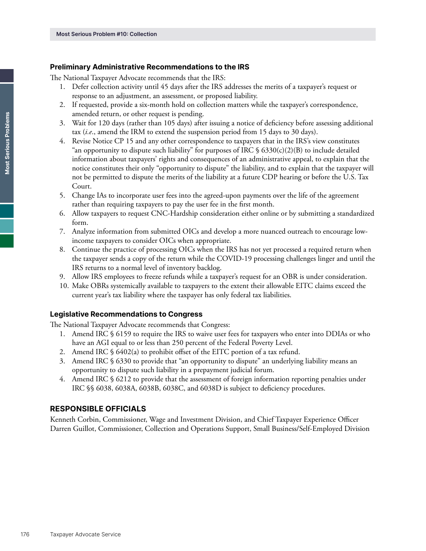#### Preliminary Administrative Recommendations to the IRS

The National Taxpayer Advocate recommends that the IRS:

- 1. Defer collection activity until 45 days after the IRS addresses the merits of a taxpayer's request or response to an adjustment, an assessment, or proposed liability.
- 2. If requested, provide a six-month hold on collection matters while the taxpayer's correspondence, amended return, or other request is pending.
- 3. Wait for 120 days (rather than 105 days) after issuing a notice of deficiency before assessing additional tax (*i.e*., amend the IRM to extend the suspension period from 15 days to 30 days).
- 4. Revise Notice CP 15 and any other correspondence to taxpayers that in the IRS's view constitutes "an opportunity to dispute such liability" for purposes of IRC  $\S$  6330(c)(2)(B) to include detailed information about taxpayers' rights and consequences of an administrative appeal, to explain that the notice constitutes their only "opportunity to dispute" the liability, and to explain that the taxpayer will not be permitted to dispute the merits of the liability at a future CDP hearing or before the U.S. Tax Court.
- 5. Change IAs to incorporate user fees into the agreed-upon payments over the life of the agreement rather than requiring taxpayers to pay the user fee in the first month.
- 6. Allow taxpayers to request CNC-Hardship consideration either online or by submitting a standardized form.
- 7. Analyze information from submitted OICs and develop a more nuanced outreach to encourage lowincome taxpayers to consider OICs when appropriate.
- 8. Continue the practice of processing OICs when the IRS has not yet processed a required return when the taxpayer sends a copy of the return while the COVID-19 processing challenges linger and until the IRS returns to a normal level of inventory backlog.
- 9. Allow IRS employees to freeze refunds while a taxpayer's request for an OBR is under consideration.
- 10. Make OBRs systemically available to taxpayers to the extent their allowable EITC claims exceed the current year's tax liability where the taxpayer has only federal tax liabilities.

#### Legislative Recommendations to Congress

The National Taxpayer Advocate recommends that Congress:

- 1. Amend IRC § 6159 to require the IRS to waive user fees for taxpayers who enter into DDIAs or who have an AGI equal to or less than 250 percent of the Federal Poverty Level.
- 2. Amend IRC § 6402(a) to prohibit offset of the EITC portion of a tax refund.
- 3. Amend IRC § 6330 to provide that "an opportunity to dispute" an underlying liability means an opportunity to dispute such liability in a prepayment judicial forum.
- 4. Amend IRC § 6212 to provide that the assessment of foreign information reporting penalties under IRC §§ 6038, 6038A, 6038B, 6038C, and 6038D is subject to deficiency procedures.

#### RESPONSIBLE OFFICIALS

Kenneth Corbin, Commissioner, Wage and Investment Division, and Chief Taxpayer Experience Officer Darren Guillot, Commissioner, Collection and Operations Support, Small Business/Self-Employed Division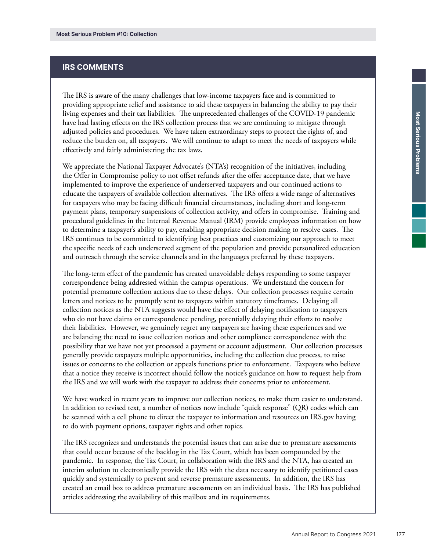### IRS COMMENTS

The IRS is aware of the many challenges that low-income taxpayers face and is committed to providing appropriate relief and assistance to aid these taxpayers in balancing the ability to pay their living expenses and their tax liabilities. The unprecedented challenges of the COVID-19 pandemic have had lasting effects on the IRS collection process that we are continuing to mitigate through adjusted policies and procedures. We have taken extraordinary steps to protect the rights of, and reduce the burden on, all taxpayers. We will continue to adapt to meet the needs of taxpayers while effectively and fairly administering the tax laws.

We appreciate the National Taxpayer Advocate's (NTA's) recognition of the initiatives, including the Offer in Compromise policy to not offset refunds after the offer acceptance date, that we have implemented to improve the experience of underserved taxpayers and our continued actions to educate the taxpayers of available collection alternatives. The IRS offers a wide range of alternatives for taxpayers who may be facing difficult financial circumstances, including short and long-term payment plans, temporary suspensions of collection activity, and offers in compromise. Training and procedural guidelines in the Internal Revenue Manual (IRM) provide employees information on how to determine a taxpayer's ability to pay, enabling appropriate decision making to resolve cases. The IRS continues to be committed to identifying best practices and customizing our approach to meet the specific needs of each underserved segment of the population and provide personalized education and outreach through the service channels and in the languages preferred by these taxpayers.

The long-term effect of the pandemic has created unavoidable delays responding to some taxpayer correspondence being addressed within the campus operations. We understand the concern for potential premature collection actions due to these delays. Our collection processes require certain letters and notices to be promptly sent to taxpayers within statutory timeframes. Delaying all collection notices as the NTA suggests would have the effect of delaying notification to taxpayers who do not have claims or correspondence pending, potentially delaying their efforts to resolve their liabilities. However, we genuinely regret any taxpayers are having these experiences and we are balancing the need to issue collection notices and other compliance correspondence with the possibility that we have not yet processed a payment or account adjustment. Our collection processes generally provide taxpayers multiple opportunities, including the collection due process, to raise issues or concerns to the collection or appeals functions prior to enforcement. Taxpayers who believe that a notice they receive is incorrect should follow the notice's guidance on how to request help from the IRS and we will work with the taxpayer to address their concerns prior to enforcement.

We have worked in recent years to improve our collection notices, to make them easier to understand. In addition to revised text, a number of notices now include "quick response" (QR) codes which can be scanned with a cell phone to direct the taxpayer to information and resources on IRS.gov having to do with payment options, taxpayer rights and other topics.

The IRS recognizes and understands the potential issues that can arise due to premature assessments that could occur because of the backlog in the Tax Court, which has been compounded by the pandemic. In response, the Tax Court, in collaboration with the IRS and the NTA, has created an interim solution to electronically provide the IRS with the data necessary to identify petitioned cases quickly and systemically to prevent and reverse premature assessments. In addition, the IRS has created an email box to address premature assessments on an individual basis. The IRS has published articles addressing the availability of this mailbox and its requirements.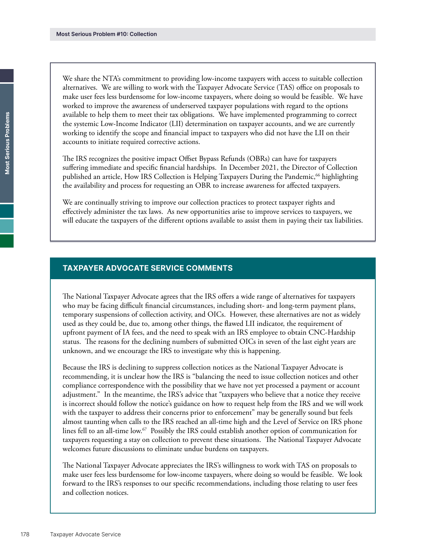We share the NTA's commitment to providing low-income taxpayers with access to suitable collection alternatives. We are willing to work with the Taxpayer Advocate Service (TAS) office on proposals to make user fees less burdensome for low-income taxpayers, where doing so would be feasible. We have worked to improve the awareness of underserved taxpayer populations with regard to the options available to help them to meet their tax obligations. We have implemented programming to correct the systemic Low-Income Indicator (LII) determination on taxpayer accounts, and we are currently working to identify the scope and financial impact to taxpayers who did not have the LII on their accounts to initiate required corrective actions.

The IRS recognizes the positive impact Offset Bypass Refunds (OBRs) can have for taxpayers suffering immediate and specific financial hardships. In December 2021, the Director of Collection published an article, How IRS Collection is Helping Taxpayers During the Pandemic,<sup>66</sup> highlighting the availability and process for requesting an OBR to increase awareness for affected taxpayers.

We are continually striving to improve our collection practices to protect taxpayer rights and effectively administer the tax laws. As new opportunities arise to improve services to taxpayers, we will educate the taxpayers of the different options available to assist them in paying their tax liabilities.

# TAXPAYER ADVOCATE SERVICE COMMENTS

The National Taxpayer Advocate agrees that the IRS offers a wide range of alternatives for taxpayers who may be facing difficult financial circumstances, including short- and long-term payment plans, temporary suspensions of collection activity, and OICs. However, these alternatives are not as widely used as they could be, due to, among other things, the flawed LII indicator, the requirement of upfront payment of IA fees, and the need to speak with an IRS employee to obtain CNC-Hardship status. The reasons for the declining numbers of submitted OICs in seven of the last eight years are unknown, and we encourage the IRS to investigate why this is happening.

Because the IRS is declining to suppress collection notices as the National Taxpayer Advocate is recommending, it is unclear how the IRS is "balancing the need to issue collection notices and other compliance correspondence with the possibility that we have not yet processed a payment or account adjustment." In the meantime, the IRS's advice that "taxpayers who believe that a notice they receive is incorrect should follow the notice's guidance on how to request help from the IRS and we will work with the taxpayer to address their concerns prior to enforcement" may be generally sound but feels almost taunting when calls to the IRS reached an all-time high and the Level of Service on IRS phone lines fell to an all-time low.<sup>67</sup> Possibly the IRS could establish another option of communication for taxpayers requesting a stay on collection to prevent these situations. The National Taxpayer Advocate welcomes future discussions to eliminate undue burdens on taxpayers.

The National Taxpayer Advocate appreciates the IRS's willingness to work with TAS on proposals to make user fees less burdensome for low-income taxpayers, where doing so would be feasible. We look forward to the IRS's responses to our specific recommendations, including those relating to user fees and collection notices.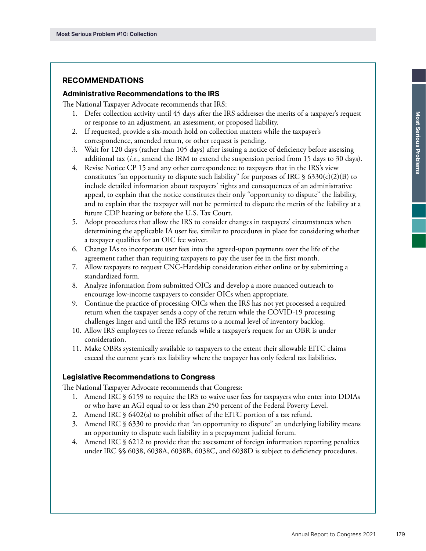### RECOMMENDATIONS

#### Administrative Recommendations to the IRS

The National Taxpayer Advocate recommends that IRS:

- 1. Defer collection activity until 45 days after the IRS addresses the merits of a taxpayer's request or response to an adjustment, an assessment, or proposed liability.
- 2. If requested, provide a six-month hold on collection matters while the taxpayer's correspondence, amended return, or other request is pending.
- 3. Wait for 120 days (rather than 105 days) after issuing a notice of deficiency before assessing additional tax (*i.e*., amend the IRM to extend the suspension period from 15 days to 30 days).
- 4. Revise Notice CP 15 and any other correspondence to taxpayers that in the IRS's view constitutes "an opportunity to dispute such liability" for purposes of IRC  $\S$  6330(c)(2)(B) to include detailed information about taxpayers' rights and consequences of an administrative appeal, to explain that the notice constitutes their only "opportunity to dispute" the liability, and to explain that the taxpayer will not be permitted to dispute the merits of the liability at a future CDP hearing or before the U.S. Tax Court.
- 5. Adopt procedures that allow the IRS to consider changes in taxpayers' circumstances when determining the applicable IA user fee, similar to procedures in place for considering whether a taxpayer qualifies for an OIC fee waiver.
- 6. Change IAs to incorporate user fees into the agreed-upon payments over the life of the agreement rather than requiring taxpayers to pay the user fee in the first month.
- 7. Allow taxpayers to request CNC-Hardship consideration either online or by submitting a standardized form.
- 8. Analyze information from submitted OICs and develop a more nuanced outreach to encourage low-income taxpayers to consider OICs when appropriate.
- 9. Continue the practice of processing OICs when the IRS has not yet processed a required return when the taxpayer sends a copy of the return while the COVID-19 processing challenges linger and until the IRS returns to a normal level of inventory backlog.
- 10. Allow IRS employees to freeze refunds while a taxpayer's request for an OBR is under consideration.
- 11. Make OBRs systemically available to taxpayers to the extent their allowable EITC claims exceed the current year's tax liability where the taxpayer has only federal tax liabilities.

#### Legislative Recommendations to Congress

The National Taxpayer Advocate recommends that Congress:

- 1. Amend IRC § 6159 to require the IRS to waive user fees for taxpayers who enter into DDIAs or who have an AGI equal to or less than 250 percent of the Federal Poverty Level.
- 2. Amend IRC § 6402(a) to prohibit offset of the EITC portion of a tax refund.
- 3. Amend IRC § 6330 to provide that "an opportunity to dispute" an underlying liability means an opportunity to dispute such liability in a prepayment judicial forum.
- 4. Amend IRC § 6212 to provide that the assessment of foreign information reporting penalties under IRC §§ 6038, 6038A, 6038B, 6038C, and 6038D is subject to deficiency procedures.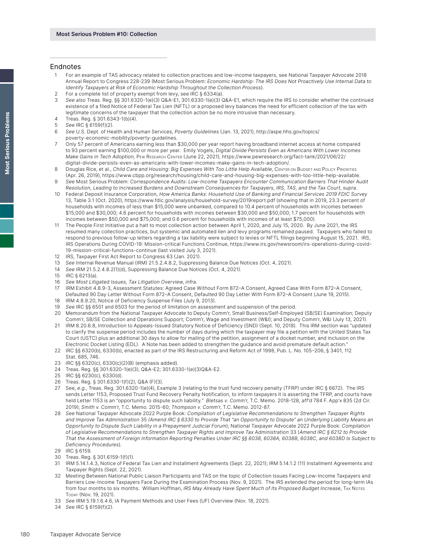#### Endnotes

- 1 For an example of TAS advocacy related to collection practices and low-income taxpayers, see National Taxpayer Advocate 2018 Annual Report to Congress 228-239 (Most Serious Problem: Economic Hardship: The IRS Does Not Proactively Use Internal Data to Identify Taxpayers at Risk of Economic Hardship Throughout the Collection Process).
- 2 For a complete list of property exempt from levy, see IRC § 6334(a).
- 3 See also Treas. Reg. §§ 301.6320-1(e)(3) Q&A-E1, 301.6330-1(e)(3) Q&A-E1, which require the IRS to consider whether the continued existence of a filed Notice of Federal Tax Lien (NFTL) or a proposed levy balances the need for efficient collection of the tax with legitimate concerns of the taxpayer that the collection action be no more intrusive than necessary.
- 4 Treas. Reg. § 301.6343-1(b)(4).
- 5 See IRC § 6159(f)(2).
- 6 See U.S. Dept. of Health and Human Services, Poverty Guidelines (Jan. 13, 2021), [http://aspe.hhs.gov/topics/](http://aspe.hhs.gov/topics/poverty-economic-mobility/poverty-guidelines) [poverty-economic-mobility/poverty-guidelines](http://aspe.hhs.gov/topics/poverty-economic-mobility/poverty-guidelines).
- 7 Only 57 percent of Americans earning less than \$30,000 per year report having broadband internet access at home compared to 93 percent earning \$100,000 or more per year. Emily Vogels, Digital Divide Persists Even as Americans With Lower Incomes Make Gains in Tech Adoption, PEW RESEARCH CENTER (June 22, 2021), [https://www.pewresearch.org/fact-tank/2021/06/22/](https://www.pewresearch.org/fact-tank/2021/06/22/digital-divide-persists-even-as-americans-with-lower-incomes-make-gains-in-tech-adoption/) [digital-divide-persists-even-as-americans-with-lower-incomes-make-gains-in-tech-adoption/](https://www.pewresearch.org/fact-tank/2021/06/22/digital-divide-persists-even-as-americans-with-lower-incomes-make-gains-in-tech-adoption/).
- 8 Douglas Rice, et al., Child Care and Housing: Big Expenses With Too Little Help Available, CENTER ON BUDGET AND POLICY PRIORITIES (Apr. 26, 2019), <https://www.cbpp.org/research/housing/child-care-and-housing-big-expenses-with-too-little-help-available>. 9 See Most Serious Problem: Correspondence Audits: Low-Income Taxpayers Encounter Communication Barriers That Hinder Audit
- Resolution, Leading to Increased Burdens and Downstream Consequences for Taxpayers, IRS, TAS, and the Tax Court, supra.
- Federal Deposit Insurance Corporation, How America Banks: Household Use of Banking and Financial Services 2019 FDIC Survey 13, Table 3.1 (Oct. 2020), <https://www.fdic.gov/analysis/household-survey/2019report.pdf> (showing that in 2019, 23.3 percent of households with incomes of less than \$15,000 were unbanked, compared to 10.4 percent of households with incomes between \$15,000 and \$30,000; 4.6 percent for households with incomes between \$30,000 and \$50,000; 1.7 percent for households with incomes between \$50,000 and \$75,000; and 0.6 percent for households with incomes of at least \$75,000).
- 11 The People First Initiative put a halt to most collection action between April 1, 2020, and July 15, 2020. By June 2021, the IRS resumed many collection practices, but systemic and automated lien and levy programs remained paused. Taxpayers who failed to respond to previous follow-up letters regarding a tax liability were subject to levies or NFTL filings beginning August 15, 2021. IRS, IRS Operations During COVID-19: Mission-critical Functions Continue, [https://www.irs.gov/newsroom/irs-operations-during-covid-](https://www.irs.gov/newsroom/irs-operations-during-covid-19-mission-critical-functions-continue)[19-mission-critical-functions-continue](https://www.irs.gov/newsroom/irs-operations-during-covid-19-mission-critical-functions-continue) (last visited July 3, 2021).
- 12 IRS, Taxpayer First Act Report to Congress 63 (Jan. 2021).
- 13 See Internal Revenue Manual (IRM) 21.5.2.4.8.2, Suppressing Balance Due Notices (Oct. 4, 2021).
- 14 See IRM 21.5.2.4.8.2(1)(d), Suppressing Balance Due Notices (Oct. 4, 2021).
- 15 IRC § 6213(a).
- 16 See Most Litigated Issues, Tax Litigation Overview, infra.
- 17 IRM Exhibit 4.8.9-3, Assessment Statutes: Agreed Case Without Form 872-A Consent, Agreed Case With Form 872-A Consent, Defaulted 90 Day Letter Without Form 872–A Consent, Defaulted 90 Day Letter With Form 872–A Consent (June 19, 2015).
- 18 IRM 4.8.9.20, Notice of Deficiency Suspense Files (July 9, 2013).
- 19 See IRC §§ 6501 and 6503 for the period of limitation on assessment and suspension of the period.
- 20 Memorandum from the National Taxpayer Advocate to Deputy Comm'r, Small Business/Self-Employed (SB/SE) Examination; Deputy Comm'r, SB/SE Collection and Operations Support; Comm'r, Wage and Investment (W&I); and Deputy Comm'r, W&I (July 13, 2021).
- 21 IRM 8.20.6.8, Introduction to Appeals-Issued Statutory Notice of Deficiency (SND) (Sept. 10, 2018). This IRM section was "updated to clarify the suspense period includes the number of days during which the taxpayer may file a petition with the United States Tax Court (USTC) plus an additional 30 days to allow for mailing of the petition, assignment of a docket number, and inclusion on the Electronic Docket Listing (EDL). A Note has been added to strengthen the guidance and avoid premature default action."
- 22 IRC §§ 6320(b), 6330(b), enacted as part of the IRS Restructuring and Reform Act of 1998, Pub. L. No. 105–206, § 3401, 112 Stat. 685, 746.
- 23 IRC §§ 6320(c), 6330(c)(2)(B) (emphasis added).
- 24 Treas. Reg. §§ 301.6320-1(e)(3), Q&A-E2; 301.6330-1(e)(3)Q&A-E2.
- 25 IRC §§ 6230(c), 6330(d).
- 26 Treas. Reg. § 301.6330-1(f)(2), Q&A (F)(3).
- 27 See, e.g., Treas. Reg. 301.6320-1(e)(4), Example 3 (relating to the trust fund recovery penalty (TFRP) under IRC § 6672). The IRS sends Letter 1153, Proposed Trust Fund Recovery Penalty Notification, to inform taxpayers it is asserting the TFRP, and courts have held Letter 1153 is an "opportunity to dispute such liability." Bletsas v. Comm'r, T.C. Memo. 2018-128, aff'd 784 F. App'x 835 (2d Cir. 2019); Smith v. Comm'r, T.C. Memo. 2015-60; Thompson v. Comm'r, T.C. Memo. 2012-87.
- 28 See National Taxpayer Advocate 2022 Purple Book: Compilation of Legislative Recommendations to Strengthen Taxpayer Rights and Improve Tax Administration 35 (Amend IRC § 6330 to Provide That "an Opportunity to Dispute" an Underlying Liability Means an Opportunity to Dispute Such Liability in a Prepayment Judicial Forum); National Taxpayer Advocate 2022 Purple Book: Compilation of Legislative Recommendations to Strengthen Taxpayer Rights and Improve Tax Administration 33 (Amend IRC § 6212 to Provide That the Assessment of Foreign Information Reporting Penalties Under IRC §§ 6038, 6038A, 6038B, 6038C, and 6038D Is Subject to Deficiency Procedures).
- 29 IRC § 6159.
- 30 Treas. Reg. § 301.6159-1(f)(1).
- 31 IRM 5.14.1.4.3, Notice of Federal Tax Lien and Installment Agreements (Sept. 22, 2021); IRM 5.14.1.2 (11) Installment Agreements and Taxpayer Rights (Sept. 22, 2021).
- 32 Meeting Between National Public Liaison Participants and TAS on the topic of Collection Issues Facing Low-Income Taxpayers and Barriers Low-Income Taxpayers Face During the Examination Process (Nov. 9, 2021). The IRS extended the period for long-term IAs from four months to six months. William Hoffman, IRS May Already Have Spent Much of Its Proposed Budget Increase, TAX Notes TODAY (Nov. 19, 2021).
- 33 See IRM 5.19.1.6.4.6, IA Payment Methods and User Fees (UF) Overview (Nov. 18, 2021).
- 34 See IRC § 6159(f)(2).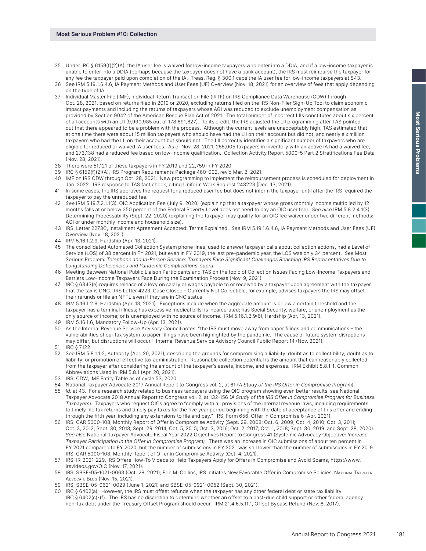- 35 Under IRC § 6159(f)(2)(A), the IA user fee is waived for low-income taxpayers who enter into a DDIA, and if a low-income taxpayer is unable to enter into a DDIA (perhaps because the taxpayer does not have a bank account), the IRS must reimburse the taxpayer for any fee the taxpayer paid upon completion of the IA. Treas. Reg. § 300.1 caps the IA user fee for low-income taxpayers at \$43.
- 36 See IRM 5.19.1.6.4.6, IA Payment Methods and User Fees (UF) Overview (Nov. 18, 2021) for an overview of fees that apply depending on the type of IA.
- 37 Individual Master File (IMF), Individual Return Transaction File (IRTF) on IRS Compliance Data Warehouse (CDW) through Oct. 28, 2021, based on returns filed in 2019 or 2020, excluding returns filed on the IRS Non-Filer Sign-Up Tool to claim economic impact payments and including the returns of taxpayers whose AGI was reduced to exclude unemployment compensation as provided by Section 9042 of the American Rescue Plan Act of 2021. The total number of incorrect LIIs constitutes about six percent of all accounts with an LII (9,990,985 out of 178,691,827). To its credit, the IRS adjusted the LII programming after TAS pointed out that there appeared to be a problem with the process. Although the current levels are unacceptably high, TAS estimated that at one time there were about 15 million taxpayers who should have had the LII on their account but did not, and nearly six million taxpayers who had the LII on their account but should not. The LII correctly identifies a significant number of taxpayers who are eligible for reduced or waived IA user fees. As of Nov. 28, 2021, 255,005 taxpayers in inventory with an active IA had a waived fee, and 273,138 had a reduced fee based on low-income qualification. Collection Activity Report 5000-5 Part 2 Stratifications Fee Data (Nov. 28, 2021).
- 38 There were 51,121 of these taxpayers in FY 2019 and 22,759 in FY 2020.
- 39 IRC § 6159(f)(2)(A), IRS Program Requirements Package 460-002, rev'd Mar. 2, 2021.
- 40 IMF on IRS CDW through Oct. 28, 2021. New programming to implement the reimbursement process is scheduled for deployment in Jan. 2022. IRS response to TAS fact check, citing Uniform Work Request 243223 (Dec. 13, 2021).
- 41 In some cases, the IRS approves the request for a reduced user fee but does not inform the taxpayer until after the IRS required the taxpayer to pay the unreduced fee.
- 42 See IRM 5.19.7.2.1.1(3), OIC Application Fee (July 9, 2020) (explaining that a taxpayer whose gross monthly income multiplied by 12 months falls at or below 250 percent of the Federal Poverty Level does not need to pay an OIC user fee). See also IRM 5.8.2.4.1(3), Determining Processability (Sept. 22, 2020) (explaining the taxpayer may qualify for an OIC fee waiver under two different methods: AGI or under monthly income and household size).
- 43 IRS, Letter 2273C, Installment Agreement Accepted: Terms Explained. See IRM 5.19.1.6.4.6, IA Payment Methods and User Fees (UF) Overview (Nov. 18, 2021).
- 44 IRM 5.16.1.2.9, Hardship (Apr. 13, 2021).
- 45 The consolidated Automated Collection System phone lines, used to answer taxpayer calls about collection actions, had a Level of Service (LOS) of 38 percent in FY 2021, but even in FY 2019, the last pre-pandemic year, the LOS was only 34 percent. See Most Serious Problem: Telephone and In-Person Service: Taxpayers Face Significant Challenges Reaching IRS Representatives Due to Longstanding Deficiencies and Pandemic Complications, supra.
- 46 Meeting Between National Public Liaison Participants and TAS on the topic of Collection Issues Facing Low-Income Taxpayers and Barriers Low-Income Taxpayers Face During the Examination Process (Nov. 9, 2021).
- 47 IRC § 6343(e) requires release of a levy on salary or wages payable to or received by a taxpayer upon agreement with the taxpayer that the tax is CNC. IRS Letter 4223, Case Closed – Currently Not Collectible, for example, advises taxpayers the IRS may offset their refunds or file an NFTL even if they are in CNC status.
- 48 IRM 5.16.1.2.9, Hardship (Apr. 13, 2021). Exceptions include when the aggregate amount is below a certain threshold and the taxpayer has a terminal illness; has excessive medical bills; is incarcerated; has Social Security, welfare, or unemployment as the only source of income; or is unemployed with no source of income. IRM 5.16.1.2.9(6), Hardship (Apr. 13, 2021).
- 49 IRM 5.16.1.6, Mandatory Follow-Up (Apr. 13, 2021).
- 50 As the Internal Revenue Service Advisory Council notes, "the IRS must move away from paper filings and communications the vulnerabilities of our tax system to paper filings have been highlighted by the pandemic. The cause of future system disruptions may differ, but disruptions will occur." Internal Revenue Service Advisory Council Public Report 14 (Nov. 2021).
- 51 IRC § 7122.
- 52 See IRM 5.8.1.1.2, Authority (Apr. 20, 2021), describing the grounds for compromising a liability: doubt as to collectibility; doubt as to liability; or promotion of effective tax administration. Reasonable collection potential is the amount that can reasonably collected from the taxpayer after considering the amount of the taxpayer's assets, income, and expenses. IRM Exhibit 5.8.1-1, Common Abbreviations Used in IRM 5.8.1 (Apr. 20, 2021).
- 53 IRS, CDW, IMF Entity Table as of cycle 53, 2020.
- 54 National Taxpayer Advocate 2017 Annual Report to Congress vol. 2, at 61 (A Study of the IRS Offer in Compromise Program).
- 55 Id. at 43. For a research study related to business taxpayers using the OIC program showing even better results, see National Taxpayer Advocate 2018 Annual Report to Congress vol. 2, at 132-156 (A Study of the IRS Offer in Compromise Program for Business Taxpayers). Taxpayers who request OICs agree to "comply with all provisions of the internal revenue laws, including requirements to timely file tax returns and timely pay taxes for the five year period beginning with the date of acceptance of this offer and ending through the fifth year, including any extensions to file and pay." IRS, Form 656, Offer in Compromise 6 (Apr. 2021).
- 56 IRS, CAR 5000-108, Monthly Report of Offer in Compromise Activity (Sept. 29, 2008; Oct. 6, 2009; Oct. 4, 2010; Oct. 3, 2011; Oct. 3, 2012; Sept. 30, 2013; Sept. 29, 2014; Oct. 5, 2015; Oct. 3, 2016; Oct. 2, 2017; Oct. 1, 2018; Sept. 30, 2019; and Sept. 28, 2020). See also National Taxpayer Advocate Fiscal Year 2022 Objectives Report to Congress 41 (Systemic Advocacy Objective: Increase Taxpayer Participation in the Offer in Compromise Program). There was an increase in OIC submissions of about ten percent in FY 2021 compared to FY 2020, but the number of submissions in FY 2021 was still lower than the number of submissions in FY 2019. IRS, CAR 5000-108, Monthly Report of Offer in Compromise Activity (Oct. 4, 2021).
- 57 IRS, IR-2021-229, IRS Offers How-To Videos to Help Taxpayers Apply for Offers in Compromise and Avoid Scams, [https://www.](https://www.irsvideos.gov/OIC) [irsvideos.gov/OIC](https://www.irsvideos.gov/OIC) (Nov. 17, 2021).
- 58 IRS, SBSE-05-1021-0063 (Oct. 28, 2021); Erin M. Collins, IRS Initiates New Favorable Offer in Compromise Policies, NATIONAL TAXPAYER ADVOCATE BLOG (Nov. 15, 2021).
- 59 IRS, SBSE-05-0621-0029 (June 1, 2021) and SBSE-05-0921-0052 (Sept. 30, 2021).
- 60 IRC § 6402(a). However, the IRS must offset refunds when the taxpayer has any other federal debt or state tax liability. IRC § 6402(c)-(f). The IRS has no discretion to determine whether an offset to a past-due child support or other federal agency non-tax debt under the Treasury Offset Program should occur. IRM 21.4.6.5.11.1, Offset Bypass Refund (Nov. 8, 2017).